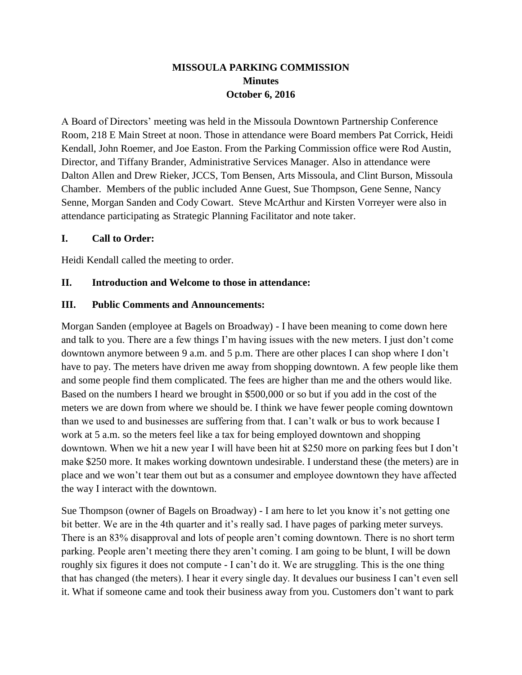# **MISSOULA PARKING COMMISSION Minutes October 6, 2016**

A Board of Directors' meeting was held in the Missoula Downtown Partnership Conference Room, 218 E Main Street at noon. Those in attendance were Board members Pat Corrick, Heidi Kendall, John Roemer, and Joe Easton. From the Parking Commission office were Rod Austin, Director, and Tiffany Brander, Administrative Services Manager. Also in attendance were Dalton Allen and Drew Rieker, JCCS, Tom Bensen, Arts Missoula, and Clint Burson, Missoula Chamber. Members of the public included Anne Guest, Sue Thompson, Gene Senne, Nancy Senne, Morgan Sanden and Cody Cowart. Steve McArthur and Kirsten Vorreyer were also in attendance participating as Strategic Planning Facilitator and note taker.

#### **I. Call to Order:**

Heidi Kendall called the meeting to order.

### **II. Introduction and Welcome to those in attendance:**

#### **III. Public Comments and Announcements:**

Morgan Sanden (employee at Bagels on Broadway) - I have been meaning to come down here and talk to you. There are a few things I'm having issues with the new meters. I just don't come downtown anymore between 9 a.m. and 5 p.m. There are other places I can shop where I don't have to pay. The meters have driven me away from shopping downtown. A few people like them and some people find them complicated. The fees are higher than me and the others would like. Based on the numbers I heard we brought in \$500,000 or so but if you add in the cost of the meters we are down from where we should be. I think we have fewer people coming downtown than we used to and businesses are suffering from that. I can't walk or bus to work because I work at 5 a.m. so the meters feel like a tax for being employed downtown and shopping downtown. When we hit a new year I will have been hit at \$250 more on parking fees but I don't make \$250 more. It makes working downtown undesirable. I understand these (the meters) are in place and we won't tear them out but as a consumer and employee downtown they have affected the way I interact with the downtown.

Sue Thompson (owner of Bagels on Broadway) - I am here to let you know it's not getting one bit better. We are in the 4th quarter and it's really sad. I have pages of parking meter surveys. There is an 83% disapproval and lots of people aren't coming downtown. There is no short term parking. People aren't meeting there they aren't coming. I am going to be blunt, I will be down roughly six figures it does not compute - I can't do it. We are struggling. This is the one thing that has changed (the meters). I hear it every single day. It devalues our business I can't even sell it. What if someone came and took their business away from you. Customers don't want to park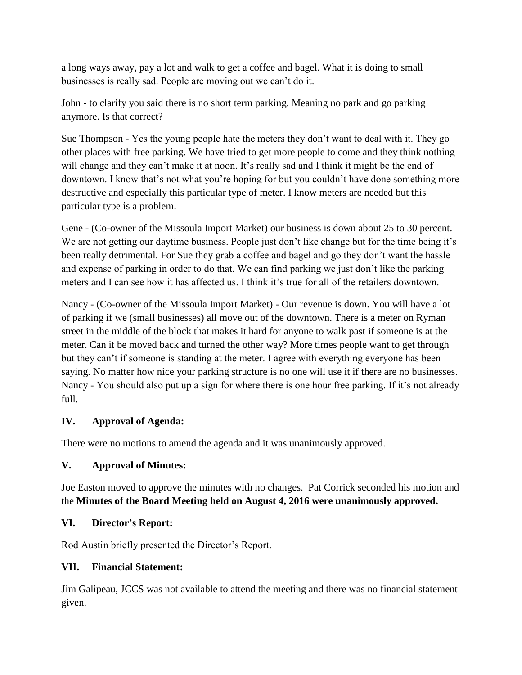a long ways away, pay a lot and walk to get a coffee and bagel. What it is doing to small businesses is really sad. People are moving out we can't do it.

John - to clarify you said there is no short term parking. Meaning no park and go parking anymore. Is that correct?

Sue Thompson - Yes the young people hate the meters they don't want to deal with it. They go other places with free parking. We have tried to get more people to come and they think nothing will change and they can't make it at noon. It's really sad and I think it might be the end of downtown. I know that's not what you're hoping for but you couldn't have done something more destructive and especially this particular type of meter. I know meters are needed but this particular type is a problem.

Gene - (Co-owner of the Missoula Import Market) our business is down about 25 to 30 percent. We are not getting our daytime business. People just don't like change but for the time being it's been really detrimental. For Sue they grab a coffee and bagel and go they don't want the hassle and expense of parking in order to do that. We can find parking we just don't like the parking meters and I can see how it has affected us. I think it's true for all of the retailers downtown.

Nancy - (Co-owner of the Missoula Import Market) - Our revenue is down. You will have a lot of parking if we (small businesses) all move out of the downtown. There is a meter on Ryman street in the middle of the block that makes it hard for anyone to walk past if someone is at the meter. Can it be moved back and turned the other way? More times people want to get through but they can't if someone is standing at the meter. I agree with everything everyone has been saying. No matter how nice your parking structure is no one will use it if there are no businesses. Nancy - You should also put up a sign for where there is one hour free parking. If it's not already full.

# **IV. Approval of Agenda:**

There were no motions to amend the agenda and it was unanimously approved.

### **V. Approval of Minutes:**

Joe Easton moved to approve the minutes with no changes. Pat Corrick seconded his motion and the **Minutes of the Board Meeting held on August 4, 2016 were unanimously approved.**

### **VI. Director's Report:**

Rod Austin briefly presented the Director's Report.

### **VII. Financial Statement:**

Jim Galipeau, JCCS was not available to attend the meeting and there was no financial statement given.